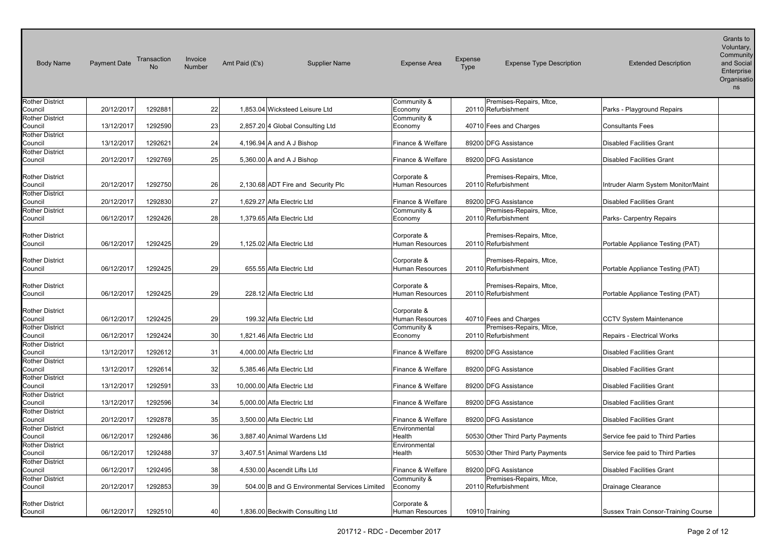| <b>Body Name</b>                  | <b>Payment Date</b> | Transaction<br>No | Invoice<br>Number | Amt Paid (£'s) | <b>Supplier Name</b>                          | <b>Expense Area</b>                   | Expense<br>Type | <b>Expense Type Description</b>                | <b>Extended Description</b>         | Grants to<br>Voluntary,<br>Community<br>and Social<br>Enterprise<br>Organisatio<br>ns |
|-----------------------------------|---------------------|-------------------|-------------------|----------------|-----------------------------------------------|---------------------------------------|-----------------|------------------------------------------------|-------------------------------------|---------------------------------------------------------------------------------------|
| <b>Rother District</b>            |                     |                   |                   |                |                                               | Community &                           |                 | Premises-Repairs, Mtce,                        |                                     |                                                                                       |
| Council                           | 20/12/2017          | 1292881           | 22                |                | 1,853.04 Wicksteed Leisure Ltd                | Economy                               |                 | 20110 Refurbishment                            | Parks - Playground Repairs          |                                                                                       |
| <b>Rother District</b><br>Council | 13/12/2017          | 1292590           | 23                |                | 2,857.20 4 Global Consulting Ltd              | Community &<br>Economy                |                 | 40710 Fees and Charges                         | <b>Consultants Fees</b>             |                                                                                       |
| <b>Rother District</b>            |                     |                   |                   |                |                                               |                                       |                 |                                                |                                     |                                                                                       |
| Council                           | 13/12/2017          | 1292621           | 24                |                | 4,196.94 A and A J Bishop                     | Finance & Welfare                     |                 | 89200 DFG Assistance                           | <b>Disabled Facilities Grant</b>    |                                                                                       |
| <b>Rother District</b>            |                     |                   |                   |                |                                               |                                       |                 |                                                |                                     |                                                                                       |
| Council                           | 20/12/2017          | 1292769           | 25                |                | 5,360.00 A and A J Bishop                     | Finance & Welfare                     |                 | 89200 DFG Assistance                           | <b>Disabled Facilities Grant</b>    |                                                                                       |
| <b>Rother District</b><br>Council | 20/12/2017          | 1292750           | 26                |                | 2,130.68 ADT Fire and Security Plc            | Corporate &<br><b>Human Resources</b> |                 | Premises-Repairs, Mtce,<br>20110 Refurbishment | Intruder Alarm System Monitor/Maint |                                                                                       |
| <b>Rother District</b><br>Council | 20/12/2017          | 1292830           | 27                |                | 1,629.27 Alfa Electric Ltd                    | Finance & Welfare                     |                 | 89200 DFG Assistance                           | <b>Disabled Facilities Grant</b>    |                                                                                       |
| <b>Rother District</b>            |                     |                   |                   |                |                                               | Community &                           |                 | Premises-Repairs, Mtce,                        |                                     |                                                                                       |
| Council                           | 06/12/2017          | 1292426           | 28                |                | 1,379.65 Alfa Electric Ltd                    | Economy                               |                 | 20110 Refurbishment                            | Parks- Carpentry Repairs            |                                                                                       |
| <b>Rother District</b><br>Council | 06/12/2017          | 1292425           | 29                |                | 1,125.02 Alfa Electric Ltd                    | Corporate &<br>Human Resources        |                 | Premises-Repairs, Mtce,<br>20110 Refurbishment | Portable Appliance Testing (PAT)    |                                                                                       |
| <b>Rother District</b><br>Council | 06/12/2017          | 1292425           | 29                |                | 655.55 Alfa Electric Ltd                      | Corporate &<br>Human Resources        |                 | Premises-Repairs, Mtce,<br>20110 Refurbishment | Portable Appliance Testing (PAT)    |                                                                                       |
| <b>Rother District</b><br>Council | 06/12/2017          | 1292425           | 29                |                | 228.12 Alfa Electric Ltd                      | Corporate &<br>Human Resources        |                 | Premises-Repairs, Mtce,<br>20110 Refurbishment | Portable Appliance Testing (PAT)    |                                                                                       |
| <b>Rother District</b><br>Council | 06/12/2017          | 1292425           | 29                |                | 199.32 Alfa Electric Ltd                      | Corporate &<br>Human Resources        |                 | 40710 Fees and Charges                         | <b>CCTV System Maintenance</b>      |                                                                                       |
| <b>Rother District</b><br>Council | 06/12/2017          | 1292424           | 30                |                | 1,821.46 Alfa Electric Ltd                    | Community &<br>Economy                |                 | Premises-Repairs, Mtce,<br>20110 Refurbishment | Repairs - Electrical Works          |                                                                                       |
| <b>Rother District</b><br>Council | 13/12/2017          | 1292612           | 31                |                | 4,000.00 Alfa Electric Ltd                    | Finance & Welfare                     |                 | 89200 DFG Assistance                           | <b>Disabled Facilities Grant</b>    |                                                                                       |
| <b>Rother District</b><br>Council | 13/12/2017          | 1292614           | 32                |                | 5,385.46 Alfa Electric Ltd                    | Finance & Welfare                     |                 | 89200 DFG Assistance                           | <b>Disabled Facilities Grant</b>    |                                                                                       |
| <b>Rother District</b><br>Council | 13/12/2017          | 1292591           | 33                |                | 10,000.00 Alfa Electric Ltd                   | Finance & Welfare                     |                 | 89200 DFG Assistance                           | <b>Disabled Facilities Grant</b>    |                                                                                       |
| <b>Rother District</b>            |                     |                   |                   |                |                                               |                                       |                 |                                                |                                     |                                                                                       |
| Council<br><b>Rother District</b> | 13/12/2017          | 1292596           | 34                |                | 5,000.00 Alfa Electric Ltd                    | Finance & Welfare                     |                 | 89200 DFG Assistance                           | <b>Disabled Facilities Grant</b>    |                                                                                       |
| Council                           | 20/12/2017          | 1292878           | 35                |                | 3,500.00 Alfa Electric Ltd                    | Finance & Welfare                     |                 | 89200 DFG Assistance                           | <b>Disabled Facilities Grant</b>    |                                                                                       |
| <b>Rother District</b><br>Council | 06/12/2017          | 1292486           | 36                |                | 3,887.40 Animal Wardens Ltd                   | Environmental<br>Health               |                 | 50530 Other Third Party Payments               | Service fee paid to Third Parties   |                                                                                       |
| <b>Rother District</b>            |                     |                   |                   |                |                                               | Environmental                         |                 |                                                |                                     |                                                                                       |
| Council                           | 06/12/2017          | 1292488           | 37                |                | 3,407.51 Animal Wardens Ltd                   | Health                                |                 | 50530 Other Third Party Payments               | Service fee paid to Third Parties   |                                                                                       |
| <b>Rother District</b><br>Council | 06/12/2017          | 1292495           | 38                |                | 4,530.00 Ascendit Lifts Ltd                   | Finance & Welfare                     |                 | 89200 DFG Assistance                           | <b>Disabled Facilities Grant</b>    |                                                                                       |
| <b>Rother District</b>            |                     |                   | 39                |                |                                               | Community &                           |                 | Premises-Repairs, Mtce,<br>20110 Refurbishment |                                     |                                                                                       |
| Council                           | 20/12/2017          | 1292853           |                   |                | 504.00 B and G Environmental Services Limited | Economy                               |                 |                                                | Drainage Clearance                  |                                                                                       |
| <b>Rother District</b><br>Council | 06/12/2017          | 1292510           | 40                |                | 1,836.00 Beckwith Consulting Ltd              | Corporate &<br><b>Human Resources</b> |                 | 10910 Training                                 | Sussex Train Consor-Training Course |                                                                                       |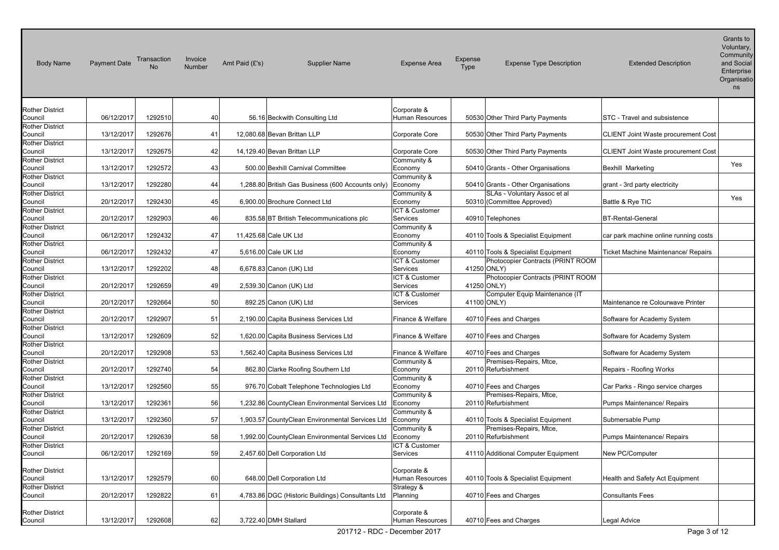| <b>Body Name</b>                  | <b>Payment Date</b> | Transaction<br>N <sub>o</sub> | Invoice<br>Number | Amt Paid $(E's)$      | <b>Supplier Name</b>                              | <b>Expense Area</b>                   | Expense<br>Type | <b>Expense Type Description</b>                                    | <b>Extended Description</b>                | Grants to<br>Voluntary,<br>Community<br>and Social<br>Enterprise<br>Organisatio<br>ns |
|-----------------------------------|---------------------|-------------------------------|-------------------|-----------------------|---------------------------------------------------|---------------------------------------|-----------------|--------------------------------------------------------------------|--------------------------------------------|---------------------------------------------------------------------------------------|
| <b>Rother District</b>            |                     |                               |                   |                       |                                                   | Corporate &                           |                 |                                                                    |                                            |                                                                                       |
| Council<br><b>Rother District</b> | 06/12/2017          | 1292510                       | 40                |                       | 56.16 Beckwith Consulting Ltd                     | Human Resources                       |                 | 50530 Other Third Party Payments                                   | STC - Travel and subsistence               |                                                                                       |
| Council<br><b>Rother District</b> | 13/12/2017          | 1292676                       | 41                |                       | 12,080.68 Bevan Brittan LLP                       | Corporate Core                        |                 | 50530 Other Third Party Payments                                   | CLIENT Joint Waste procurement Cost        |                                                                                       |
| Council                           | 13/12/2017          | 1292675                       | 42                |                       | 14,129.40 Bevan Brittan LLP                       | Corporate Core                        |                 | 50530 Other Third Party Payments                                   | <b>CLIENT Joint Waste procurement Cost</b> |                                                                                       |
| <b>Rother District</b><br>Council | 13/12/2017          | 1292572                       | 43                |                       | 500.00 Bexhill Carnival Committee                 | Community &<br>Economy                |                 | 50410 Grants - Other Organisations                                 | Bexhill Marketing                          | Yes                                                                                   |
| <b>Rother District</b>            |                     |                               |                   |                       |                                                   | Community &                           |                 |                                                                    |                                            |                                                                                       |
| Council<br><b>Rother District</b> | 13/12/2017          | 1292280                       | 44                |                       | 1,288.80 British Gas Business (600 Accounts only) | Economy<br>Community &                |                 | 50410 Grants - Other Organisations<br>SLAs - Voluntary Assoc et al | grant - 3rd party electricity              |                                                                                       |
| Council                           | 20/12/2017          | 1292430                       | 45                |                       | 6,900.00 Brochure Connect Ltd                     | Economy                               |                 | 50310 (Committee Approved)                                         | Battle & Rye TIC                           | Yes                                                                                   |
| <b>Rother District</b><br>Council | 20/12/2017          | 1292903                       | 46                |                       | 835.58 BT British Telecommunications plc          | <b>ICT &amp; Customer</b><br>Services |                 | 40910 Telephones                                                   | <b>BT-Rental-General</b>                   |                                                                                       |
| <b>Rother District</b><br>Council | 06/12/2017          | 1292432                       | 47                | 11,425.68 Cale UK Ltd |                                                   | Community &<br>Economy                |                 | 40110 Tools & Specialist Equipment                                 | car park machine online running costs      |                                                                                       |
| <b>Rother District</b><br>Council | 06/12/2017          | 1292432                       | 47                |                       | 5,616.00 Cale UK Ltd                              | Community &<br>Economy                |                 | 40110 Tools & Specialist Equipment                                 | <b>Ticket Machine Maintenance/ Repairs</b> |                                                                                       |
| <b>Rother District</b><br>Council | 13/12/2017          | 1292202                       | 48                |                       | 6,678.83 Canon (UK) Ltd                           | ICT & Customer<br>Services            | 41250 ONLY)     | Photocopier Contracts (PRINT ROOM                                  |                                            |                                                                                       |
| <b>Rother District</b><br>Council | 20/12/2017          | 1292659                       | 49                |                       | 2,539.30 Canon (UK) Ltd                           | ICT & Customer<br>Services            | 41250 ONLY)     | Photocopier Contracts (PRINT ROOM                                  |                                            |                                                                                       |
| <b>Rother District</b><br>Council | 20/12/2017          | 1292664                       | 50                |                       | 892.25 Canon (UK) Ltd                             | ICT & Customer<br>Services            | 41100 ONLY)     | Computer Equip Maintenance (IT                                     | Maintenance re Colourwave Printer          |                                                                                       |
| Rother District<br>Council        | 20/12/2017          | 1292907                       | 51                |                       | 2,190.00 Capita Business Services Ltd             | Finance & Welfare                     |                 | 40710 Fees and Charges                                             | Software for Academy System                |                                                                                       |
| <b>Rother District</b><br>Council | 13/12/2017          | 1292609                       | 52                |                       | 1,620.00 Capita Business Services Ltd             | Finance & Welfare                     |                 | 40710 Fees and Charges                                             | Software for Academy System                |                                                                                       |
| <b>Rother District</b><br>Council | 20/12/2017          | 1292908                       | 53 <sub>1</sub>   |                       | 1,562.40 Capita Business Services Ltd             | Finance & Welfare                     |                 | 40710 Fees and Charges                                             | Software for Academy System                |                                                                                       |
| <b>Rother District</b><br>Council | 20/12/2017          | 1292740                       | 54                |                       | 862.80 Clarke Roofing Southern Ltd                | Community &<br>Economy                |                 | Premises-Repairs, Mtce,<br>20110 Refurbishment                     | Repairs - Roofing Works                    |                                                                                       |
| <b>Rother District</b><br>Council | 13/12/2017          | 1292560                       | 55                |                       | 976.70 Cobalt Telephone Technologies Ltd          | Community &<br>Economy                |                 | 40710 Fees and Charges                                             | Car Parks - Ringo service charges          |                                                                                       |
| Rother District<br>Council        | 13/12/2017          | 1292361                       | 56                |                       | 1,232.86 CountyClean Environmental Services Ltd   | Community &<br>Economy                |                 | Premises-Repairs, Mtce,<br>20110 Refurbishment                     | Pumps Maintenance/ Repairs                 |                                                                                       |
| <b>Rother District</b><br>Council | 13/12/2017          | 1292360                       | 57                |                       | 1,903.57 CountyClean Environmental Services Ltd   | Community &<br>Economy                |                 | 40110 Tools & Specialist Equipment                                 | Submersable Pump                           |                                                                                       |
| Rother District<br>Council        | 20/12/2017          | 1292639                       | 58                |                       | 1,992.00 CountyClean Environmental Services Ltd   | Community &<br>Economy                |                 | Premises-Repairs, Mtce,<br>20110 Refurbishment                     | Pumps Maintenance/ Repairs                 |                                                                                       |
| <b>Rother District</b><br>Council | 06/12/2017          | 1292169                       | 59                |                       | 2,457.60 Dell Corporation Ltd                     | ICT & Customer<br>Services            |                 | 41110 Additional Computer Equipment                                | New PC/Computer                            |                                                                                       |
| <b>Rother District</b><br>Council | 13/12/2017          | 1292579                       | 60                |                       | 648.00 Dell Corporation Ltd                       | Corporate &<br>Human Resources        |                 | 40110 Tools & Specialist Equipment                                 | Health and Safety Act Equipment            |                                                                                       |
| <b>Rother District</b><br>Council | 20/12/2017          | 1292822                       | 61                |                       | 4,783.86 DGC (Historic Buildings) Consultants Ltd | Strategy &<br>Planning                |                 | 40710 Fees and Charges                                             | <b>Consultants Fees</b>                    |                                                                                       |
| <b>Rother District</b><br>Council | 13/12/2017          | 1292608                       | 62                |                       | 3,722.40 DMH Stallard                             | Corporate &<br>Human Resources        |                 | 40710 Fees and Charges                                             | Legal Advice                               |                                                                                       |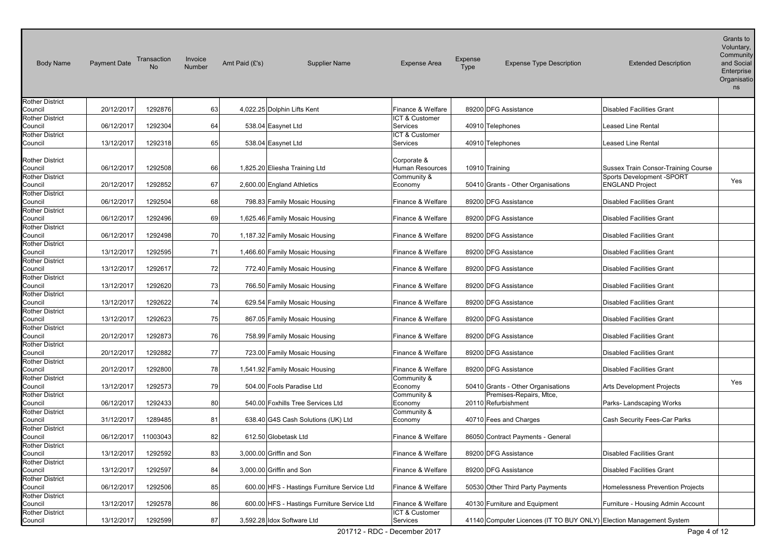| <b>Body Name</b>                  | <b>Payment Date</b> | Transaction<br><b>No</b> | Invoice<br>Number | Amt Paid (£'s) | <b>Supplier Name</b>                        | <b>Expense Area</b>                 | Expense<br>Type | <b>Expense Type Description</b>                                     | <b>Extended Description</b>             | Grants to<br>Voluntary,<br>Community<br>and Social<br>Enterprise<br>Organisatio<br>ns |
|-----------------------------------|---------------------|--------------------------|-------------------|----------------|---------------------------------------------|-------------------------------------|-----------------|---------------------------------------------------------------------|-----------------------------------------|---------------------------------------------------------------------------------------|
| <b>Rother District</b>            |                     |                          |                   |                |                                             |                                     |                 |                                                                     |                                         |                                                                                       |
| Council<br><b>Rother District</b> | 20/12/2017          | 1292876                  | 63                |                | 4,022.25 Dolphin Lifts Kent                 | Finance & Welfare<br>ICT & Customer |                 | 89200 DFG Assistance                                                | <b>Disabled Facilities Grant</b>        |                                                                                       |
| Council                           | 06/12/2017          | 1292304                  | 64                |                | 538.04 Easynet Ltd                          | <b>Services</b>                     |                 | 40910 Telephones                                                    | <b>Leased Line Rental</b>               |                                                                                       |
| <b>Rother District</b>            |                     |                          |                   |                |                                             | ICT & Customer                      |                 |                                                                     |                                         |                                                                                       |
| Council                           | 13/12/2017          | 1292318                  | 65                |                | 538.04 Easynet Ltd                          | <b>Services</b>                     |                 | 40910 Telephones                                                    | Leased Line Rental                      |                                                                                       |
| <b>Rother District</b><br>Council | 06/12/2017          | 1292508                  | 66                |                | 1,825.20 Eliesha Training Ltd               | Corporate &<br>Human Resources      |                 | 10910 Training                                                      | Sussex Train Consor-Training Course     |                                                                                       |
| <b>Rother District</b>            |                     |                          |                   |                |                                             | Community &                         |                 |                                                                     | Sports Development -SPORT               | Yes                                                                                   |
| Council                           | 20/12/2017          | 1292852                  | 67                |                | 2,600.00 England Athletics                  | Economy                             |                 | 50410 Grants - Other Organisations                                  | <b>ENGLAND Project</b>                  |                                                                                       |
| <b>Rother District</b>            |                     |                          |                   |                |                                             |                                     |                 |                                                                     |                                         |                                                                                       |
| Council                           | 06/12/2017          | 1292504                  | 68                |                | 798.83 Family Mosaic Housing                | Finance & Welfare                   |                 | 89200 DFG Assistance                                                | <b>Disabled Facilities Grant</b>        |                                                                                       |
| <b>Rother District</b><br>Council | 06/12/2017          | 1292496                  | 69                |                | 1,625.46 Family Mosaic Housing              | Finance & Welfare                   |                 | 89200 DFG Assistance                                                | <b>Disabled Facilities Grant</b>        |                                                                                       |
| <b>Rother District</b>            |                     |                          |                   |                |                                             |                                     |                 |                                                                     |                                         |                                                                                       |
| Council                           | 06/12/2017          | 1292498                  | 70                |                | 1,187.32 Family Mosaic Housing              | Finance & Welfare                   |                 | 89200 DFG Assistance                                                | <b>Disabled Facilities Grant</b>        |                                                                                       |
| <b>Rother District</b>            |                     |                          |                   |                |                                             |                                     |                 |                                                                     |                                         |                                                                                       |
| Council                           | 13/12/2017          | 1292595                  | 71                |                | 1,466.60 Family Mosaic Housing              | Finance & Welfare                   |                 | 89200 DFG Assistance                                                | <b>Disabled Facilities Grant</b>        |                                                                                       |
| <b>Rother District</b>            |                     |                          |                   |                |                                             |                                     |                 |                                                                     |                                         |                                                                                       |
| Council                           | 13/12/2017          | 1292617                  | 72                |                | 772.40 Family Mosaic Housing                | Finance & Welfare                   |                 | 89200 DFG Assistance                                                | <b>Disabled Facilities Grant</b>        |                                                                                       |
| <b>Rother District</b>            |                     |                          |                   |                |                                             |                                     |                 |                                                                     |                                         |                                                                                       |
| Council                           | 13/12/2017          | 1292620                  | 73                |                | 766.50 Family Mosaic Housing                | Finance & Welfare                   |                 | 89200 DFG Assistance                                                | <b>Disabled Facilities Grant</b>        |                                                                                       |
| <b>Rother District</b>            |                     |                          |                   |                |                                             |                                     |                 |                                                                     |                                         |                                                                                       |
| Council                           | 13/12/2017          | 1292622                  | 74                |                | 629.54 Family Mosaic Housing                | Finance & Welfare                   |                 | 89200 DFG Assistance                                                | <b>Disabled Facilities Grant</b>        |                                                                                       |
| <b>Rother District</b>            |                     |                          |                   |                |                                             |                                     |                 |                                                                     |                                         |                                                                                       |
| Council<br><b>Rother District</b> | 13/12/2017          | 1292623                  | 75                |                | 867.05 Family Mosaic Housing                | Finance & Welfare                   |                 | 89200 DFG Assistance                                                | <b>Disabled Facilities Grant</b>        |                                                                                       |
| Council                           | 20/12/2017          | 1292873                  | 76                |                | 758.99 Family Mosaic Housing                | Finance & Welfare                   |                 | 89200 DFG Assistance                                                | <b>Disabled Facilities Grant</b>        |                                                                                       |
| <b>Rother District</b>            |                     |                          |                   |                |                                             |                                     |                 |                                                                     |                                         |                                                                                       |
| Council                           | 20/12/2017          | 1292882                  | 77                |                | 723.00 Family Mosaic Housing                | Finance & Welfare                   |                 | 89200 DFG Assistance                                                | <b>Disabled Facilities Grant</b>        |                                                                                       |
| <b>Rother District</b>            |                     |                          |                   |                |                                             |                                     |                 |                                                                     |                                         |                                                                                       |
| Council                           | 20/12/2017          | 1292800                  | 78                |                | 1,541.92 Family Mosaic Housing              | Finance & Welfare                   |                 | 89200 DFG Assistance                                                | <b>Disabled Facilities Grant</b>        |                                                                                       |
| <b>Rother District</b>            |                     |                          |                   |                |                                             | Community &                         |                 |                                                                     |                                         | Yes                                                                                   |
| Council                           | 13/12/2017          | 1292573                  | 79                |                | 504.00 Fools Paradise Ltd                   | Economy                             |                 | 50410 Grants - Other Organisations                                  | Arts Development Projects               |                                                                                       |
| <b>Rother District</b>            |                     |                          |                   |                |                                             | Community &                         |                 | Premises-Repairs, Mtce,                                             |                                         |                                                                                       |
| Council                           | 06/12/2017          | 1292433                  | 80                |                | 540.00 Foxhills Tree Services Ltd           | Economy                             |                 | 20110 Refurbishment                                                 | Parks- Landscaping Works                |                                                                                       |
| <b>Rother District</b>            |                     |                          |                   |                |                                             | Community &                         |                 | 40710 Fees and Charges                                              |                                         |                                                                                       |
| Council<br><b>Rother District</b> | 31/12/2017          | 1289485                  | 81                |                | 638.40 G4S Cash Solutions (UK) Ltd          | Economy                             |                 |                                                                     | Cash Security Fees-Car Parks            |                                                                                       |
| Council                           | 06/12/2017          | 11003043                 | 82                |                | 612.50 Globetask Ltd                        | Finance & Welfare                   |                 | 86050 Contract Payments - General                                   |                                         |                                                                                       |
| <b>Rother District</b>            |                     |                          |                   |                |                                             |                                     |                 |                                                                     |                                         |                                                                                       |
| Council                           | 13/12/2017          | 1292592                  | 83                |                | 3,000.00 Griffin and Son                    | Finance & Welfare                   |                 | 89200 DFG Assistance                                                | <b>Disabled Facilities Grant</b>        |                                                                                       |
| <b>Rother District</b>            |                     |                          |                   |                |                                             |                                     |                 |                                                                     |                                         |                                                                                       |
| Council                           | 13/12/2017          | 1292597                  | 84                |                | 3,000.00 Griffin and Son                    | Finance & Welfare                   |                 | 89200 DFG Assistance                                                | <b>Disabled Facilities Grant</b>        |                                                                                       |
| <b>Rother District</b>            |                     |                          |                   |                |                                             |                                     |                 |                                                                     |                                         |                                                                                       |
| Council                           | 06/12/2017          | 1292506                  | 85                |                | 600.00 HFS - Hastings Furniture Service Ltd | Finance & Welfare                   |                 | 50530 Other Third Party Payments                                    | <b>Homelessness Prevention Projects</b> |                                                                                       |
| <b>Rother District</b>            |                     |                          |                   |                |                                             |                                     |                 |                                                                     |                                         |                                                                                       |
| Council                           | 13/12/2017          | 1292578                  | 86                |                | 600.00 HFS - Hastings Furniture Service Ltd | Finance & Welfare                   |                 | 40130 Furniture and Equipment                                       | Furniture - Housing Admin Account       |                                                                                       |
| <b>Rother District</b>            |                     |                          |                   |                |                                             | ICT & Customer                      |                 |                                                                     |                                         |                                                                                       |
| Council                           | 13/12/2017          | 1292599                  | 87                |                | 3,592.28 Idox Software Ltd                  | Services                            |                 | 41140 Computer Licences (IT TO BUY ONLY) Election Management System |                                         |                                                                                       |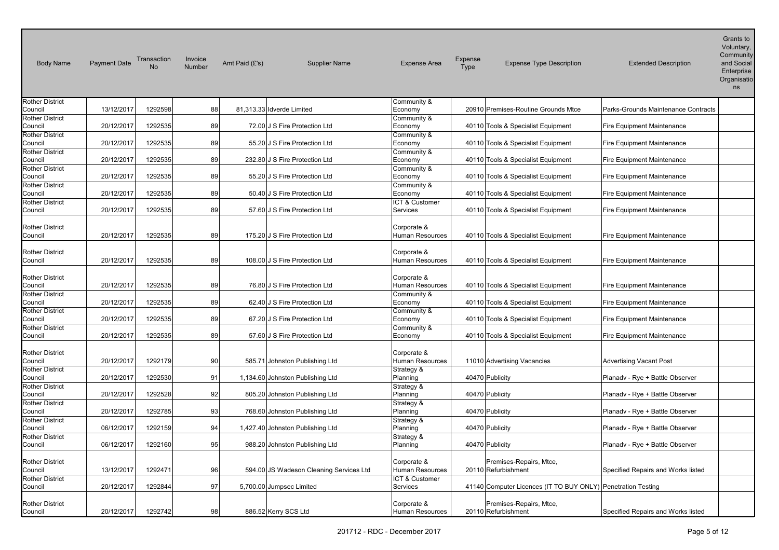| <b>Body Name</b>                  | <b>Payment Date</b> | Transaction<br>No | Invoice<br>Number | Amt Paid (£'s) | <b>Supplier Name</b>                    | <b>Expense Area</b>                   | Expense<br>Type | <b>Expense Type Description</b>                              | <b>Extended Description</b>         | Grants to<br>Voluntary,<br>Community<br>and Social<br>Enterprise<br>Organisatio<br>ns |
|-----------------------------------|---------------------|-------------------|-------------------|----------------|-----------------------------------------|---------------------------------------|-----------------|--------------------------------------------------------------|-------------------------------------|---------------------------------------------------------------------------------------|
| <b>Rother District</b>            |                     |                   |                   |                |                                         | Community &                           |                 |                                                              |                                     |                                                                                       |
| Council                           | 13/12/2017          | 1292598           | 88                |                | 81,313.33 Idverde Limited               | Economy                               |                 | 20910 Premises-Routine Grounds Mtce                          | Parks-Grounds Maintenance Contracts |                                                                                       |
| <b>Rother District</b>            |                     |                   |                   |                |                                         | Community &                           |                 |                                                              |                                     |                                                                                       |
| Council                           | 20/12/2017          | 1292535           | 89                |                | 72.00 J S Fire Protection Ltd           | Economy                               |                 | 40110 Tools & Specialist Equipment                           | <b>Fire Equipment Maintenance</b>   |                                                                                       |
| <b>Rother District</b>            | 20/12/2017          | 1292535           | 89                |                | 55.20 J S Fire Protection Ltd           | Community &                           |                 |                                                              |                                     |                                                                                       |
| Council<br><b>Rother District</b> |                     |                   |                   |                |                                         | Economy<br>Community &                |                 | 40110 Tools & Specialist Equipment                           | Fire Equipment Maintenance          |                                                                                       |
| Council                           | 20/12/2017          | 1292535           | 89                |                | 232.80 J S Fire Protection Ltd          | Economy                               |                 | 40110 Tools & Specialist Equipment                           | <b>Fire Equipment Maintenance</b>   |                                                                                       |
| <b>Rother District</b>            |                     |                   |                   |                |                                         | Community &                           |                 |                                                              |                                     |                                                                                       |
| Council                           | 20/12/2017          | 1292535           | 89                |                | 55.20 J S Fire Protection Ltd           | Economy                               |                 | 40110 Tools & Specialist Equipment                           | <b>Fire Equipment Maintenance</b>   |                                                                                       |
| <b>Rother District</b>            |                     |                   |                   |                |                                         | Community &                           |                 |                                                              |                                     |                                                                                       |
| Council                           | 20/12/2017          | 1292535           | 89                |                | 50.40 J S Fire Protection Ltd           | Economy                               |                 | 40110 Tools & Specialist Equipment                           | <b>Fire Equipment Maintenance</b>   |                                                                                       |
| <b>Rother District</b>            |                     |                   |                   |                |                                         | ICT & Customer                        |                 |                                                              |                                     |                                                                                       |
| Council                           | 20/12/2017          | 1292535           | 89                |                | 57.60 J S Fire Protection Ltd           | <b>Services</b>                       |                 | 40110 Tools & Specialist Equipment                           | <b>Fire Equipment Maintenance</b>   |                                                                                       |
| <b>Rother District</b><br>Council | 20/12/2017          | 1292535           | 89                |                | 175.20 J S Fire Protection Ltd          | Corporate &<br>Human Resources        |                 | 40110 Tools & Specialist Equipment                           | <b>Fire Equipment Maintenance</b>   |                                                                                       |
| <b>Rother District</b><br>Council | 20/12/2017          | 1292535           | 89                |                | 108.00 J S Fire Protection Ltd          | Corporate &<br>Human Resources        |                 | 40110 Tools & Specialist Equipment                           | <b>Fire Equipment Maintenance</b>   |                                                                                       |
| <b>Rother District</b><br>Council | 20/12/2017          | 1292535           | 89                |                | 76.80 J S Fire Protection Ltd           | Corporate &<br>Human Resources        |                 | 40110 Tools & Specialist Equipment                           | <b>Fire Equipment Maintenance</b>   |                                                                                       |
| <b>Rother District</b><br>Council | 20/12/2017          | 1292535           | 89                |                | 62.40 J S Fire Protection Ltd           | Community &<br>Economy                |                 | 40110 Tools & Specialist Equipment                           | <b>Fire Equipment Maintenance</b>   |                                                                                       |
| <b>Rother District</b><br>Council | 20/12/2017          | 1292535           | 89                |                | 67.20 J S Fire Protection Ltd           | Community &<br>Economy                |                 | 40110 Tools & Specialist Equipment                           | Fire Equipment Maintenance          |                                                                                       |
| <b>Rother District</b><br>Council | 20/12/2017          | 1292535           | 89                |                | 57.60 J S Fire Protection Ltd           | Community &<br>Economy                |                 | 40110 Tools & Specialist Equipment                           | <b>Fire Equipment Maintenance</b>   |                                                                                       |
| <b>Rother District</b><br>Council | 20/12/2017          | 1292179           | 90                |                | 585.71 Johnston Publishing Ltd          | Corporate &<br>Human Resources        |                 | 11010 Advertising Vacancies                                  | <b>Advertising Vacant Post</b>      |                                                                                       |
| <b>Rother District</b><br>Council | 20/12/2017          | 1292530           | 91                |                | 1,134.60 Johnston Publishing Ltd        | Strategy &<br>Planning                |                 | 40470 Publicity                                              | Planady - Rye + Battle Observer     |                                                                                       |
| <b>Rother District</b><br>Council | 20/12/2017          | 1292528           | 92                |                | 805.20 Johnston Publishing Ltd          | Strategy &<br>Planning                |                 | 40470 Publicity                                              | Planadv - Rye + Battle Observer     |                                                                                       |
| <b>Rother District</b><br>Council | 20/12/2017          | 1292785           | 93                |                | 768.60 Johnston Publishing Ltd          | Strategy &<br>Planning                |                 | 40470 Publicity                                              | Planady - Rye + Battle Observer     |                                                                                       |
| <b>Rother District</b><br>Council | 06/12/2017          | 1292159           | 94                |                | 1,427.40 Johnston Publishing Ltd        | Strategy &<br>Planning                |                 | 40470 Publicity                                              | Planadv - Rye + Battle Observer     |                                                                                       |
| <b>Rother District</b><br>Council | 06/12/2017          | 1292160           | 95                |                | 988.20 Johnston Publishing Ltd          | Strategy &<br>Planning                |                 | 40470 Publicity                                              | Planadv - Rye + Battle Observer     |                                                                                       |
| <b>Rother District</b><br>Council | 13/12/2017          | 1292471           | 96                |                | 594.00 JS Wadeson Cleaning Services Ltd | Corporate &<br><b>Human Resources</b> |                 | Premises-Repairs, Mtce,<br>20110 Refurbishment               | Specified Repairs and Works listed  |                                                                                       |
| <b>Rother District</b><br>Council | 20/12/2017          | 1292844           | 97                |                | 5,700.00 Jumpsec Limited                | ICT & Customer<br>Services            |                 | 41140 Computer Licences (IT TO BUY ONLY) Penetration Testing |                                     |                                                                                       |
| <b>Rother District</b><br>Council | 20/12/2017          | 1292742           | 98                |                | 886.52 Kerry SCS Ltd                    | Corporate &<br><b>Human Resources</b> |                 | Premises-Repairs, Mtce,<br>20110 Refurbishment               | Specified Repairs and Works listed  |                                                                                       |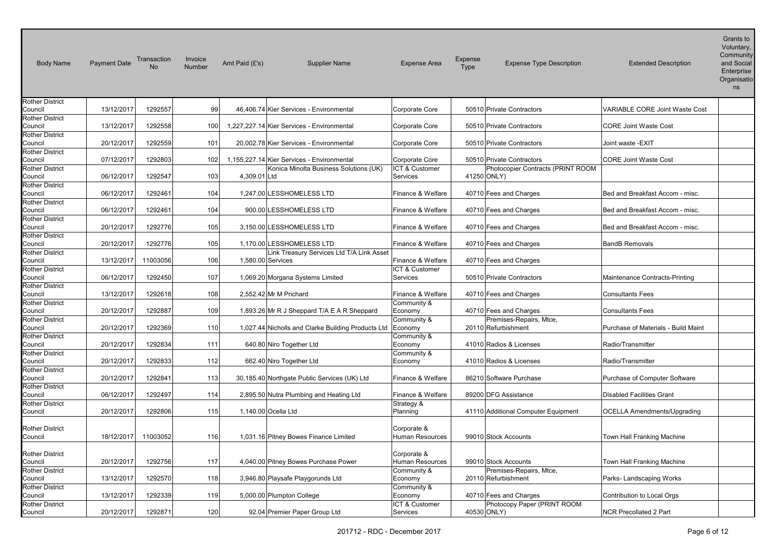| <b>Body Name</b>                  | <b>Payment Date</b> | Transaction | Invoice<br>Number | Amt Paid (£'s) | <b>Supplier Name</b>                               | <b>Expense Area</b>             | Expense<br><b>Type</b> | <b>Expense Type Description</b>     | <b>Extended Description</b>           | Grants to<br>Voluntary,<br>Community<br>and Social<br>Enterprise<br>Organisatio<br>ns |
|-----------------------------------|---------------------|-------------|-------------------|----------------|----------------------------------------------------|---------------------------------|------------------------|-------------------------------------|---------------------------------------|---------------------------------------------------------------------------------------|
| <b>Rother District</b>            |                     |             |                   |                |                                                    |                                 |                        |                                     |                                       |                                                                                       |
| Council<br><b>Rother District</b> | 13/12/2017          | 1292557     | 99                |                | 46,406.74 Kier Services - Environmental            | Corporate Core                  |                        | 50510 Private Contractors           | <b>VARIABLE CORE Joint Waste Cost</b> |                                                                                       |
| Council                           | 13/12/2017          | 1292558     | 100               |                | 1,227,227.14 Kier Services - Environmental         | Corporate Core                  |                        | 50510 Private Contractors           | <b>CORE Joint Waste Cost</b>          |                                                                                       |
| <b>Rother District</b><br>Council | 20/12/2017          | 1292559     | 101               |                | 20,002.78 Kier Services - Environmental            | Corporate Core                  |                        | 50510 Private Contractors           | Joint waste -EXIT                     |                                                                                       |
| <b>Rother District</b>            |                     |             |                   |                |                                                    |                                 |                        |                                     |                                       |                                                                                       |
| Council                           | 07/12/2017          | 1292803     | 102               |                | 1,155,227.14 Kier Services - Environmental         | Corporate Core                  |                        | 50510 Private Contractors           | <b>CORE Joint Waste Cost</b>          |                                                                                       |
| <b>Rother District</b>            |                     |             |                   |                | Konica Minolta Business Solutions (UK)             | ICT & Customer                  |                        | Photocopier Contracts (PRINT ROOM   |                                       |                                                                                       |
| Council                           | 06/12/2017          | 1292547     | 103               | 4,309.01 Ltd   |                                                    | Services                        |                        | 41250 ONLY)                         |                                       |                                                                                       |
| <b>Rother District</b>            |                     |             |                   |                |                                                    |                                 |                        |                                     |                                       |                                                                                       |
| Council                           | 06/12/2017          | 1292461     | 104               |                | 1,247.00 LESSHOMELESS LTD                          | Finance & Welfare               |                        | 40710 Fees and Charges              | Bed and Breakfast Accom - misc.       |                                                                                       |
| <b>Rother District</b>            |                     |             |                   |                |                                                    |                                 |                        |                                     |                                       |                                                                                       |
| Council                           | 06/12/2017          | 1292461     | 104               |                | 900.00 LESSHOMELESS LTD                            | Finance & Welfare               |                        | 40710 Fees and Charges              | Bed and Breakfast Accom - misc.       |                                                                                       |
| <b>Rother District</b>            |                     |             |                   |                |                                                    |                                 |                        |                                     |                                       |                                                                                       |
| Council                           | 20/12/2017          | 1292776     | 105               |                | 3,150.00 LESSHOMELESS LTD                          | Finance & Welfare               |                        | 40710 Fees and Charges              | Bed and Breakfast Accom - misc.       |                                                                                       |
| <b>Rother District</b>            |                     |             |                   |                |                                                    |                                 |                        |                                     |                                       |                                                                                       |
| Council                           | 20/12/2017          | 1292776     | 105               |                | 1,170.00 LESSHOMELESS LTD                          | Finance & Welfare               |                        | 40710 Fees and Charges              | <b>BandB Removals</b>                 |                                                                                       |
| <b>Rother District</b>            |                     |             |                   |                | Link Treasury Services Ltd T/A Link Asset          |                                 |                        |                                     |                                       |                                                                                       |
| Council                           | 13/12/2017          | 11003056    | 106               |                | 1,580.00 Services                                  | Finance & Welfare               |                        | 40710 Fees and Charges              |                                       |                                                                                       |
| <b>Rother District</b><br>Council | 06/12/2017          | 1292450     | 107               |                | 1,069.20 Morgana Systems Limited                   | ICT & Customer<br>Services      |                        | 50510 Private Contractors           | Maintenance Contracts-Printing        |                                                                                       |
| <b>Rother District</b>            |                     |             |                   |                |                                                    |                                 |                        |                                     |                                       |                                                                                       |
| Council                           | 13/12/2017          | 1292618     | 108               |                | 2,552.42 Mr M Prichard                             | Finance & Welfare               |                        | 40710 Fees and Charges              | <b>Consultants Fees</b>               |                                                                                       |
| <b>Rother District</b>            |                     |             |                   |                |                                                    | Community &                     |                        |                                     |                                       |                                                                                       |
| Council                           | 20/12/2017          | 1292887     | 109               |                | 1,893.26 Mr R J Sheppard T/A E A R Sheppard        | Economy                         |                        | 40710 Fees and Charges              | <b>Consultants Fees</b>               |                                                                                       |
| <b>Rother District</b>            |                     |             |                   |                |                                                    | Community &                     |                        | Premises-Repairs, Mtce,             |                                       |                                                                                       |
| Council                           | 20/12/2017          | 1292369     | 110               |                | 1,027.44 Nicholls and Clarke Building Products Ltd | Economy                         |                        | 20110 Refurbishment                 | Purchase of Materials - Build Maint   |                                                                                       |
| <b>Rother District</b>            |                     |             |                   |                |                                                    | Community &                     |                        |                                     |                                       |                                                                                       |
| Council                           | 20/12/2017          | 1292834     | 111               |                | 640.80 Niro Together Ltd                           | Economy                         |                        | 41010 Radios & Licenses             | Radio/Transmitter                     |                                                                                       |
| <b>Rother District</b>            |                     |             |                   |                |                                                    | Community &                     |                        |                                     |                                       |                                                                                       |
| Council                           | 20/12/2017          | 1292833     | 112               |                | 662.40 Niro Together Ltd                           | Economy                         |                        | 41010 Radios & Licenses             | Radio/Transmitter                     |                                                                                       |
| <b>Rother District</b>            |                     |             |                   |                |                                                    |                                 |                        |                                     |                                       |                                                                                       |
| Council                           | 20/12/2017          | 1292841     | 113               |                | 30,185.40 Northgate Public Services (UK) Ltd       | Finance & Welfare               |                        | 86210 Software Purchase             | Purchase of Computer Software         |                                                                                       |
| <b>Rother District</b>            | 06/12/2017          | 1292497     | 114               |                |                                                    |                                 |                        | 89200 DFG Assistance                | <b>Disabled Facilities Grant</b>      |                                                                                       |
| Council<br><b>Rother District</b> |                     |             |                   |                | 2,895.50 Nutra Plumbing and Heating Ltd            | Finance & Welfare<br>Strategy & |                        |                                     |                                       |                                                                                       |
| Council                           | 20/12/2017          | 1292806     | 115               |                | 1,140.00 Ocella Ltd                                | Planning                        |                        | 41110 Additional Computer Equipment | <b>OCELLA Amendments/Upgrading</b>    |                                                                                       |
|                                   |                     |             |                   |                |                                                    |                                 |                        |                                     |                                       |                                                                                       |
| <b>Rother District</b>            |                     |             |                   |                |                                                    | Corporate &                     |                        |                                     |                                       |                                                                                       |
| Council                           | 18/12/2017          | 11003052    | 116               |                | 1,031.16 Pitney Bowes Finance Limited              | Human Resources                 |                        | 99010 Stock Accounts                | Town Hall Franking Machine            |                                                                                       |
|                                   |                     |             |                   |                |                                                    |                                 |                        |                                     |                                       |                                                                                       |
| <b>Rother District</b>            |                     |             |                   |                |                                                    | Corporate &                     |                        |                                     |                                       |                                                                                       |
| Council                           | 20/12/2017          | 1292756     | 117               |                | 4,040.00 Pitney Bowes Purchase Power               | Human Resources                 |                        | 99010 Stock Accounts                | Town Hall Franking Machine            |                                                                                       |
| <b>Rother District</b>            |                     |             |                   |                |                                                    | Community &                     |                        | Premises-Repairs, Mtce,             |                                       |                                                                                       |
| Council                           | 13/12/2017          | 1292570     | 118               |                | 3,946.80 Playsafe Playgorunds Ltd                  | Economy                         |                        | 20110 Refurbishment                 | Parks-Landscaping Works               |                                                                                       |
| <b>Rother District</b>            |                     |             |                   |                |                                                    | Community &                     |                        |                                     |                                       |                                                                                       |
| Council                           | 13/12/2017          | 1292339     | 119               |                | 5,000.00 Plumpton College                          | Economy                         |                        | 40710 Fees and Charges              | Contribution to Local Orgs            |                                                                                       |
| <b>Rother District</b>            |                     |             |                   |                |                                                    | ICT & Customer                  |                        | Photocopy Paper (PRINT ROOM         |                                       |                                                                                       |
| Council                           | 20/12/2017          | 1292871     | 120               |                | 92.04 Premier Paper Group Ltd                      | Services                        |                        | 40530 ONLY)                         | <b>NCR Precollated 2 Part</b>         |                                                                                       |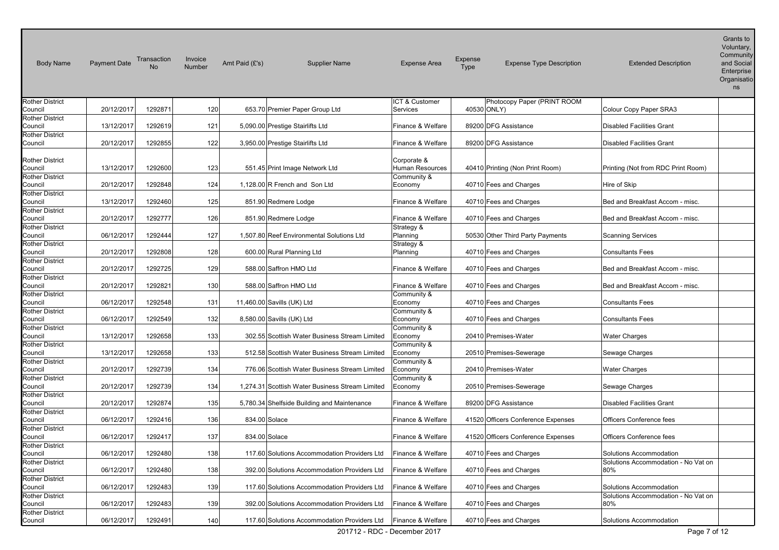| <b>Body Name</b>                  | <b>Payment Date</b> | Transaction<br>No. | Invoice<br>Number | Amt Paid $(E's)$ | <b>Supplier Name</b>                            | <b>Expense Area</b>            | Expense<br>Type | <b>Expense Type Description</b>    | <b>Extended Description</b>         | Grants to<br>Voluntary,<br>Community<br>and Social<br>Enterprise<br>Organisatio<br>ns |
|-----------------------------------|---------------------|--------------------|-------------------|------------------|-------------------------------------------------|--------------------------------|-----------------|------------------------------------|-------------------------------------|---------------------------------------------------------------------------------------|
| <b>Rother District</b>            |                     |                    |                   |                  |                                                 | ICT & Customer                 |                 | Photocopy Paper (PRINT ROOM        |                                     |                                                                                       |
| Council<br><b>Rother District</b> | 20/12/2017          | 1292871            | 120               |                  | 653.70 Premier Paper Group Ltd                  | <b>Services</b>                |                 | 40530 ONLY)                        | Colour Copy Paper SRA3              |                                                                                       |
| Council                           | 13/12/2017          | 1292619            | 121               |                  | 5,090.00 Prestige Stairlifts Ltd                | Finance & Welfare              |                 | 89200 DFG Assistance               | <b>Disabled Facilities Grant</b>    |                                                                                       |
| <b>Rother District</b>            |                     |                    |                   |                  |                                                 |                                |                 |                                    |                                     |                                                                                       |
| Council                           | 20/12/2017          | 1292855            | 122               |                  | 3,950.00 Prestige Stairlifts Ltd                | Finance & Welfare              |                 | 89200 DFG Assistance               | <b>Disabled Facilities Grant</b>    |                                                                                       |
| <b>Rother District</b><br>Council | 13/12/2017          | 1292600            | 123               |                  | 551.45 Print Image Network Ltd                  | Corporate &<br>Human Resources |                 | 40410 Printing (Non Print Room)    | Printing (Not from RDC Print Room)  |                                                                                       |
| <b>Rother District</b>            |                     |                    |                   |                  |                                                 | Community &                    |                 |                                    |                                     |                                                                                       |
| Council                           | 20/12/2017          | 1292848            | 124               |                  | 1,128.00 R French and Son Ltd                   | Economy                        |                 | 40710 Fees and Charges             | Hire of Skip                        |                                                                                       |
| <b>Rother District</b><br>Council | 13/12/2017          | 1292460            | 125               |                  | 851.90 Redmere Lodge                            | Finance & Welfare              |                 | 40710 Fees and Charges             | Bed and Breakfast Accom - misc.     |                                                                                       |
| <b>Rother District</b>            |                     |                    |                   |                  |                                                 |                                |                 |                                    |                                     |                                                                                       |
| Council                           | 20/12/2017          | 1292777            | 126               |                  | 851.90 Redmere Lodge                            | Finance & Welfare              |                 | 40710 Fees and Charges             | Bed and Breakfast Accom - misc.     |                                                                                       |
| <b>Rother District</b>            |                     |                    |                   |                  |                                                 | Strategy &                     |                 |                                    |                                     |                                                                                       |
| Council                           | 06/12/2017          | 1292444            | 127               |                  | 1.507.80 Reef Environmental Solutions Ltd       | Planning                       |                 | 50530 Other Third Party Payments   | <b>Scanning Services</b>            |                                                                                       |
| <b>Rother District</b>            |                     |                    |                   |                  |                                                 | Strategy &                     |                 |                                    |                                     |                                                                                       |
| Council                           | 20/12/2017          | 1292808            | 128               |                  | 600.00 Rural Planning Ltd                       | Planning                       |                 | 40710 Fees and Charges             | <b>Consultants Fees</b>             |                                                                                       |
| <b>Rother District</b><br>Council | 20/12/2017          | 1292725            | 129               |                  | 588.00 Saffron HMO Ltd                          | Finance & Welfare              |                 | 40710 Fees and Charges             | Bed and Breakfast Accom - misc.     |                                                                                       |
| <b>Rother District</b>            |                     |                    |                   |                  |                                                 |                                |                 |                                    |                                     |                                                                                       |
| Council                           | 20/12/2017          | 1292821            | 130               |                  | 588.00 Saffron HMO Ltd                          | Finance & Welfare              |                 | 40710 Fees and Charges             | Bed and Breakfast Accom - misc.     |                                                                                       |
| <b>Rother District</b>            |                     |                    |                   |                  |                                                 | Community &                    |                 |                                    |                                     |                                                                                       |
| Council                           | 06/12/2017          | 1292548            | 131               |                  | 11,460.00 Savills (UK) Ltd                      | Economy                        |                 | 40710 Fees and Charges             | <b>Consultants Fees</b>             |                                                                                       |
| <b>Rother District</b>            |                     |                    |                   |                  |                                                 | Community &                    |                 |                                    |                                     |                                                                                       |
| Council                           | 06/12/2017          | 1292549            | 132               |                  | 8,580.00 Savills (UK) Ltd                       | Economy                        |                 | 40710 Fees and Charges             | <b>Consultants Fees</b>             |                                                                                       |
| <b>Rother District</b><br>Council | 13/12/2017          | 1292658            | 133               |                  | 302.55 Scottish Water Business Stream Limited   | Community &<br>Economy         |                 | 20410 Premises-Water               | <b>Water Charges</b>                |                                                                                       |
| <b>Rother District</b>            |                     |                    |                   |                  |                                                 | Community &                    |                 |                                    |                                     |                                                                                       |
| Council                           | 13/12/2017          | 1292658            | 133               |                  | 512.58 Scottish Water Business Stream Limited   | Economy                        |                 | 20510 Premises-Sewerage            | Sewage Charges                      |                                                                                       |
| <b>Rother District</b>            |                     |                    |                   |                  |                                                 | Community &                    |                 |                                    |                                     |                                                                                       |
| Council                           | 20/12/2017          | 1292739            | 134               |                  | 776.06 Scottish Water Business Stream Limited   | Economy                        |                 | 20410 Premises-Water               | <b>Water Charges</b>                |                                                                                       |
| <b>Rother District</b>            |                     |                    |                   |                  |                                                 | Community &                    |                 |                                    |                                     |                                                                                       |
| Council                           | 20/12/2017          | 1292739            | 134               |                  | 1,274.31 Scottish Water Business Stream Limited | Economy                        |                 | 20510 Premises-Sewerage            | Sewage Charges                      |                                                                                       |
| <b>Rother District</b><br>Council | 20/12/2017          | 1292874            | 135               |                  | 5,780.34 Shelfside Building and Maintenance     | Finance & Welfare              |                 | 89200 DFG Assistance               | <b>Disabled Facilities Grant</b>    |                                                                                       |
| <b>Rother District</b>            |                     |                    |                   |                  |                                                 |                                |                 |                                    |                                     |                                                                                       |
| Council                           | 06/12/2017          | 1292416            | 136               | 834.00 Solace    |                                                 | Finance & Welfare              |                 | 41520 Officers Conference Expenses | Officers Conference fees            |                                                                                       |
| <b>Rother District</b>            |                     |                    |                   |                  |                                                 |                                |                 |                                    |                                     |                                                                                       |
| Council                           | 06/12/2017          | 1292417            | 137               | 834.00 Solace    |                                                 | Finance & Welfare              |                 | 41520 Officers Conference Expenses | Officers Conference fees            |                                                                                       |
| <b>Rother District</b>            |                     |                    |                   |                  |                                                 |                                |                 |                                    |                                     |                                                                                       |
| Council                           | 06/12/2017          | 1292480            | 138               |                  | 117.60 Solutions Accommodation Providers Ltd    | Finance & Welfare              |                 | 40710 Fees and Charges             | Solutions Accommodation             |                                                                                       |
| <b>Rother District</b>            |                     |                    |                   |                  |                                                 |                                |                 |                                    | Solutions Accommodation - No Vat on |                                                                                       |
| Council<br><b>Rother District</b> | 06/12/2017          | 1292480            | 138               |                  | 392.00 Solutions Accommodation Providers Ltd    | Finance & Welfare              |                 | 40710 Fees and Charges             | 80%                                 |                                                                                       |
| Council                           | 06/12/2017          | 1292483            | 139               |                  | 117.60 Solutions Accommodation Providers Ltd    | Finance & Welfare              |                 | 40710 Fees and Charges             | Solutions Accommodation             |                                                                                       |
| <b>Rother District</b>            |                     |                    |                   |                  |                                                 |                                |                 |                                    | Solutions Accommodation - No Vat on |                                                                                       |
| Council                           | 06/12/2017          | 1292483            | 139               |                  | 392.00 Solutions Accommodation Providers Ltd    | Finance & Welfare              |                 | 40710 Fees and Charges             | 80%                                 |                                                                                       |
| <b>Rother District</b>            |                     |                    |                   |                  |                                                 |                                |                 |                                    |                                     |                                                                                       |
| Council                           | 06/12/2017          | 1292491            | 140               |                  | 117.60 Solutions Accommodation Providers Ltd    | Finance & Welfare              |                 | 40710 Fees and Charges             | Solutions Accommodation             |                                                                                       |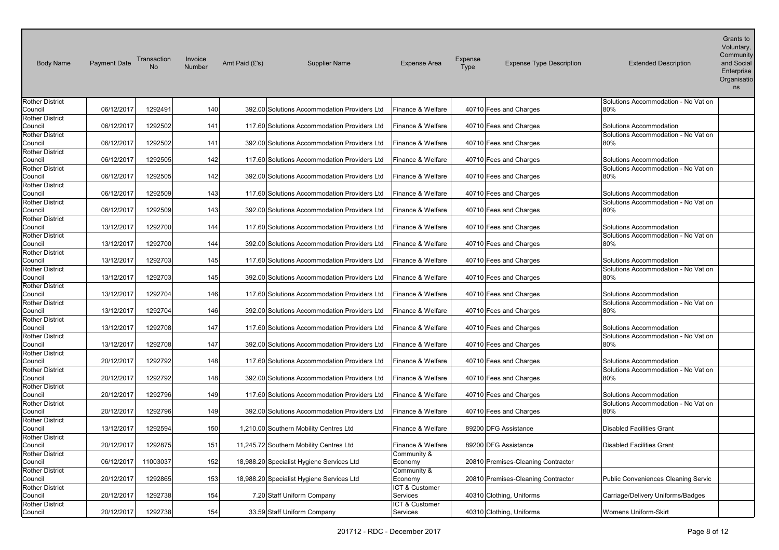| <b>Body Name</b>                  | <b>Payment Date</b> | Transaction | Invoice<br>Number | Amt Paid (£'s) | <b>Supplier Name</b>                         | <b>Expense Area</b>    | <b>Expense</b><br><b>Expense Type Description</b><br><b>Type</b> | <b>Extended Description</b>                | Grants to<br>Voluntary,<br>Community<br>and Social<br>Enterprise<br>Organisatio<br>ns |
|-----------------------------------|---------------------|-------------|-------------------|----------------|----------------------------------------------|------------------------|------------------------------------------------------------------|--------------------------------------------|---------------------------------------------------------------------------------------|
| <b>Rother District</b>            |                     |             |                   |                |                                              |                        |                                                                  | Solutions Accommodation - No Vat on        |                                                                                       |
| Council                           | 06/12/2017          | 1292491     | 140               |                | 392.00 Solutions Accommodation Providers Ltd | Finance & Welfare      | 40710 Fees and Charges                                           | 80%                                        |                                                                                       |
| <b>Rother District</b>            |                     |             |                   |                |                                              |                        |                                                                  |                                            |                                                                                       |
| Council                           | 06/12/2017          | 1292502     | 141               |                | 117.60 Solutions Accommodation Providers Ltd | Finance & Welfare      | 40710 Fees and Charges                                           | Solutions Accommodation                    |                                                                                       |
| <b>Rother District</b>            |                     |             |                   |                |                                              |                        |                                                                  | Solutions Accommodation - No Vat on        |                                                                                       |
| Council                           | 06/12/2017          | 1292502     | 141               |                | 392.00 Solutions Accommodation Providers Ltd | Finance & Welfare      | 40710 Fees and Charges                                           | 80%                                        |                                                                                       |
| <b>Rother District</b>            |                     |             |                   |                |                                              |                        |                                                                  |                                            |                                                                                       |
| Council                           | 06/12/2017          | 1292505     | 142               |                | 117.60 Solutions Accommodation Providers Ltd | Finance & Welfare      | 40710 Fees and Charges                                           | Solutions Accommodation                    |                                                                                       |
| <b>Rother District</b><br>Council | 06/12/2017          | 1292505     | 142               |                | 392.00 Solutions Accommodation Providers Ltd | Finance & Welfare      | 40710 Fees and Charges                                           | Solutions Accommodation - No Vat on<br>80% |                                                                                       |
| <b>Rother District</b>            |                     |             |                   |                |                                              |                        |                                                                  |                                            |                                                                                       |
| Council                           | 06/12/2017          | 1292509     | 143               |                | 117.60 Solutions Accommodation Providers Ltd | Finance & Welfare      | 40710 Fees and Charges                                           | Solutions Accommodation                    |                                                                                       |
| <b>Rother District</b>            |                     |             |                   |                |                                              |                        |                                                                  | Solutions Accommodation - No Vat on        |                                                                                       |
| Council                           | 06/12/2017          | 1292509     | 143               |                | 392.00 Solutions Accommodation Providers Ltd | Finance & Welfare      | 40710 Fees and Charges                                           | 80%                                        |                                                                                       |
| <b>Rother District</b>            |                     |             |                   |                |                                              |                        |                                                                  |                                            |                                                                                       |
| Council                           | 13/12/2017          | 1292700     | 144               |                | 117.60 Solutions Accommodation Providers Ltd | Finance & Welfare      | 40710 Fees and Charges                                           | Solutions Accommodation                    |                                                                                       |
| <b>Rother District</b>            |                     |             |                   |                |                                              |                        |                                                                  | Solutions Accommodation - No Vat on        |                                                                                       |
| Council                           | 13/12/2017          | 1292700     | 144               |                | 392.00 Solutions Accommodation Providers Ltd | Finance & Welfare      | 40710 Fees and Charges                                           | 80%                                        |                                                                                       |
| <b>Rother District</b>            |                     |             |                   |                |                                              |                        |                                                                  |                                            |                                                                                       |
| Council                           | 13/12/2017          | 1292703     | 145               |                | 117.60 Solutions Accommodation Providers Ltd | Finance & Welfare      | 40710 Fees and Charges                                           | Solutions Accommodation                    |                                                                                       |
| <b>Rother District</b>            |                     |             |                   |                |                                              |                        |                                                                  | Solutions Accommodation - No Vat on        |                                                                                       |
| Council                           | 13/12/2017          | 1292703     | 145               |                | 392.00 Solutions Accommodation Providers Ltd | Finance & Welfare      | 40710 Fees and Charges                                           | 80%                                        |                                                                                       |
| <b>Rother District</b>            |                     |             |                   |                |                                              |                        |                                                                  |                                            |                                                                                       |
| Council                           | 13/12/2017          | 1292704     | 146               |                | 117.60 Solutions Accommodation Providers Ltd | Finance & Welfare      | 40710 Fees and Charges                                           | Solutions Accommodation                    |                                                                                       |
| <b>Rother District</b>            |                     |             |                   |                |                                              |                        |                                                                  | Solutions Accommodation - No Vat on        |                                                                                       |
| Council                           | 13/12/2017          | 1292704     | 146               |                | 392.00 Solutions Accommodation Providers Ltd | Finance & Welfare      | 40710 Fees and Charges                                           | 80%                                        |                                                                                       |
| <b>Rother District</b>            | 13/12/2017          | 1292708     | 147               |                | 117.60 Solutions Accommodation Providers Ltd | Finance & Welfare      |                                                                  | Solutions Accommodation                    |                                                                                       |
| Council<br><b>Rother District</b> |                     |             |                   |                |                                              |                        | 40710 Fees and Charges                                           | Solutions Accommodation - No Vat on        |                                                                                       |
| Council                           | 13/12/2017          | 1292708     | 147               |                | 392.00 Solutions Accommodation Providers Ltd | Finance & Welfare      | 40710 Fees and Charges                                           | 80%                                        |                                                                                       |
| <b>Rother District</b>            |                     |             |                   |                |                                              |                        |                                                                  |                                            |                                                                                       |
| Council                           | 20/12/2017          | 1292792     | 148               |                | 117.60 Solutions Accommodation Providers Ltd | Finance & Welfare      | 40710 Fees and Charges                                           | Solutions Accommodation                    |                                                                                       |
| <b>Rother District</b>            |                     |             |                   |                |                                              |                        |                                                                  | Solutions Accommodation - No Vat on        |                                                                                       |
| Council                           | 20/12/2017          | 1292792     | 148               |                | 392.00 Solutions Accommodation Providers Ltd | Finance & Welfare      | 40710 Fees and Charges                                           | 80%                                        |                                                                                       |
| <b>Rother District</b>            |                     |             |                   |                |                                              |                        |                                                                  |                                            |                                                                                       |
| Council                           | 20/12/2017          | 1292796     | 149               |                | 117.60 Solutions Accommodation Providers Ltd | Finance & Welfare      | 40710 Fees and Charges                                           | Solutions Accommodation                    |                                                                                       |
| <b>Rother District</b>            |                     |             |                   |                |                                              |                        |                                                                  | Solutions Accommodation - No Vat on        |                                                                                       |
| Council                           | 20/12/2017          | 1292796     | 149               |                | 392.00 Solutions Accommodation Providers Ltd | Finance & Welfare      | 40710 Fees and Charges                                           | 80%                                        |                                                                                       |
| <b>Rother District</b>            |                     |             |                   |                |                                              |                        |                                                                  |                                            |                                                                                       |
| Council                           | 13/12/2017          | 1292594     | 150               |                | 1,210.00 Southern Mobility Centres Ltd       | Finance & Welfare      | 89200 DFG Assistance                                             | <b>Disabled Facilities Grant</b>           |                                                                                       |
| <b>Rother District</b>            |                     |             |                   |                |                                              |                        |                                                                  |                                            |                                                                                       |
| Council                           | 20/12/2017          | 1292875     | 151               |                | 11,245.72 Southern Mobility Centres Ltd      | Finance & Welfare      | 89200 DFG Assistance                                             | <b>Disabled Facilities Grant</b>           |                                                                                       |
| <b>Rother District</b>            |                     |             |                   |                |                                              | Community &            |                                                                  |                                            |                                                                                       |
| Council                           | 06/12/2017          | 11003037    | 152               |                | 18,988.20 Specialist Hygiene Services Ltd    | Economy                | 20810 Premises-Cleaning Contractor                               |                                            |                                                                                       |
| <b>Rother District</b><br>Council | 20/12/2017          | 1292865     | 153               |                |                                              | Community &<br>Economy | 20810 Premises-Cleaning Contractor                               | <b>Public Conveniences Cleaning Servic</b> |                                                                                       |
| <b>Rother District</b>            |                     |             |                   |                | 18,988.20 Specialist Hygiene Services Ltd    | ICT & Customer         |                                                                  |                                            |                                                                                       |
| Council                           | 20/12/2017          | 1292738     | 154               |                | 7.20 Staff Uniform Company                   | Services               | 40310 Clothing, Uniforms                                         | Carriage/Delivery Uniforms/Badges          |                                                                                       |
| <b>Rother District</b>            |                     |             |                   |                |                                              | ICT & Customer         |                                                                  |                                            |                                                                                       |
| Council                           | 20/12/2017          | 1292738     | 154               |                | 33.59 Staff Uniform Company                  | Services               | 40310 Clothing, Uniforms                                         | <b>Womens Uniform-Skirt</b>                |                                                                                       |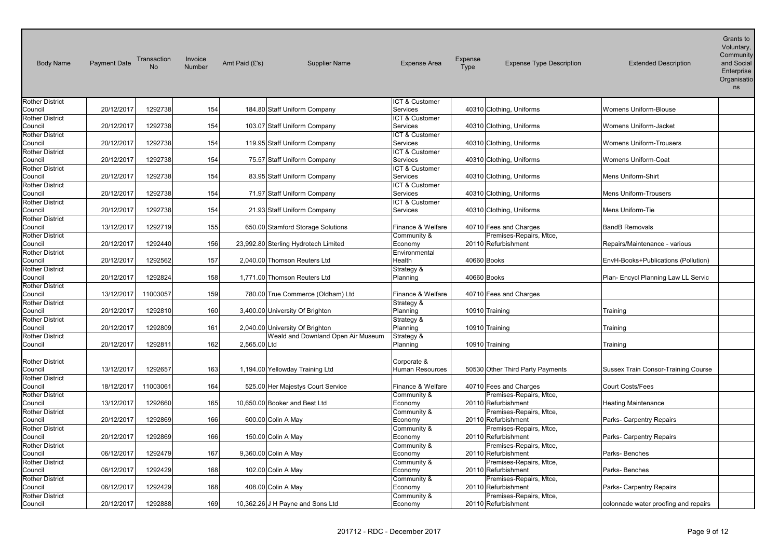| <b>Body Name</b>                  | <b>Payment Date</b> | Transaction<br><b>No</b> | Invoice<br>Number | Amt Paid (£'s) | <b>Supplier Name</b>                 | <b>Expense Area</b>        | Expense<br>Type | <b>Expense Type Description</b>  | <b>Extended Description</b>          | Grants to<br>Voluntary,<br>Community<br>and Social<br>Enterprise<br>Organisatio<br>ns |
|-----------------------------------|---------------------|--------------------------|-------------------|----------------|--------------------------------------|----------------------------|-----------------|----------------------------------|--------------------------------------|---------------------------------------------------------------------------------------|
| <b>Rother District</b>            |                     |                          |                   |                |                                      | ICT & Customer             |                 |                                  |                                      |                                                                                       |
| Council                           | 20/12/2017          | 1292738                  | 154               |                | 184.80 Staff Uniform Company         | Services                   |                 | 40310 Clothing, Uniforms         | Womens Uniform-Blouse                |                                                                                       |
| <b>Rother District</b>            |                     |                          |                   |                |                                      | ICT & Customer             |                 |                                  |                                      |                                                                                       |
| Council                           | 20/12/2017          | 1292738                  | 154               |                | 103.07 Staff Uniform Company         | Services                   |                 | 40310 Clothing, Uniforms         | Womens Uniform-Jacket                |                                                                                       |
| <b>Rother District</b>            |                     |                          |                   |                |                                      | ICT & Customer             |                 |                                  |                                      |                                                                                       |
| Council                           | 20/12/2017          | 1292738                  | 154               |                | 119.95 Staff Uniform Company         | Services                   |                 | 40310 Clothing, Uniforms         | <b>Womens Uniform-Trousers</b>       |                                                                                       |
| <b>Rother District</b>            | 20/12/2017          | 1292738                  | 154               |                | 75.57 Staff Uniform Company          | ICT & Customer<br>Services |                 | 40310 Clothing, Uniforms         | <b>Womens Uniform-Coat</b>           |                                                                                       |
| Council<br><b>Rother District</b> |                     |                          |                   |                |                                      | ICT & Customer             |                 |                                  |                                      |                                                                                       |
| Council                           | 20/12/2017          | 1292738                  | 154               |                | 83.95 Staff Uniform Company          | Services                   |                 | 40310 Clothing, Uniforms         | Mens Uniform-Shirt                   |                                                                                       |
| <b>Rother District</b>            |                     |                          |                   |                |                                      | ICT & Customer             |                 |                                  |                                      |                                                                                       |
| Council                           | 20/12/2017          | 1292738                  | 154               |                | 71.97 Staff Uniform Company          | Services                   |                 | 40310 Clothing, Uniforms         | <b>Mens Uniform-Trousers</b>         |                                                                                       |
| <b>Rother District</b>            |                     |                          |                   |                |                                      | ICT & Customer             |                 |                                  |                                      |                                                                                       |
| Council                           | 20/12/2017          | 1292738                  | 154               |                | 21.93 Staff Uniform Company          | Services                   |                 | 40310 Clothing, Uniforms         | Mens Uniform-Tie                     |                                                                                       |
| <b>Rother District</b>            |                     |                          |                   |                |                                      |                            |                 |                                  |                                      |                                                                                       |
| Council                           | 13/12/2017          | 1292719                  | 155               |                | 650.00 Stamford Storage Solutions    | Finance & Welfare          |                 | 40710 Fees and Charges           | <b>BandB Removals</b>                |                                                                                       |
| <b>Rother District</b>            |                     |                          |                   |                |                                      | Community &                |                 | Premises-Repairs, Mtce,          |                                      |                                                                                       |
| Council                           | 20/12/2017          | 1292440                  | 156               |                | 23,992.80 Sterling Hydrotech Limited | Economy                    |                 | 20110 Refurbishment              | Repairs/Maintenance - various        |                                                                                       |
| <b>Rother District</b>            |                     |                          |                   |                |                                      | Environmental              |                 |                                  |                                      |                                                                                       |
| Council                           | 20/12/2017          | 1292562                  | 157               |                | 2,040.00 Thomson Reuters Ltd         | Health                     |                 | 40660 Books                      | EnvH-Books+Publications (Pollution)  |                                                                                       |
| <b>Rother District</b>            |                     |                          |                   |                |                                      | Strategy &                 |                 |                                  |                                      |                                                                                       |
| Council                           | 20/12/2017          | 1292824                  | 158               |                | 1,771.00 Thomson Reuters Ltd         | Planning                   |                 | 40660 Books                      | Plan- Encycl Planning Law LL Servic  |                                                                                       |
| <b>Rother District</b>            |                     |                          |                   |                |                                      |                            |                 |                                  |                                      |                                                                                       |
| Council                           | 13/12/2017          | 11003057                 | 159               |                | 780.00 True Commerce (Oldham) Ltd    | Finance & Welfare          |                 | 40710 Fees and Charges           |                                      |                                                                                       |
| <b>Rother District</b>            |                     |                          |                   |                |                                      | Strategy &                 |                 |                                  |                                      |                                                                                       |
| Council                           | 20/12/2017          | 1292810                  | 160               |                | 3,400.00 University Of Brighton      | Planning                   |                 | 10910 Training                   | Training                             |                                                                                       |
| <b>Rother District</b>            |                     |                          |                   |                |                                      | Strategy &                 |                 |                                  |                                      |                                                                                       |
| Council                           | 20/12/2017          | 1292809                  | 161               |                | 2,040.00 University Of Brighton      | Planning                   |                 | 10910 Training                   | Training                             |                                                                                       |
| <b>Rother District</b><br>Council | 20/12/2017          | 1292811                  | 162               | 2,565.00 Ltd   | Weald and Downland Open Air Museum   | Strategy &                 |                 | 10910 Training                   | Training                             |                                                                                       |
|                                   |                     |                          |                   |                |                                      | Planning                   |                 |                                  |                                      |                                                                                       |
| <b>Rother District</b>            |                     |                          |                   |                |                                      | Corporate &                |                 |                                  |                                      |                                                                                       |
| Council                           | 13/12/2017          | 1292657                  | 163               |                | 1,194.00 Yellowday Training Ltd      | Human Resources            |                 | 50530 Other Third Party Payments | Sussex Train Consor-Training Course  |                                                                                       |
| <b>Rother District</b>            |                     |                          |                   |                |                                      |                            |                 |                                  |                                      |                                                                                       |
| Council                           | 18/12/2017          | 11003061                 | 164               |                | 525.00 Her Majestys Court Service    | Finance & Welfare          |                 | 40710 Fees and Charges           | Court Costs/Fees                     |                                                                                       |
| <b>Rother District</b>            |                     |                          |                   |                |                                      | Community &                |                 | Premises-Repairs, Mtce,          |                                      |                                                                                       |
| Council                           | 13/12/2017          | 1292660                  | 165               |                | 10,650.00 Booker and Best Ltd        | Economy                    |                 | 20110 Refurbishment              | <b>Heating Maintenance</b>           |                                                                                       |
| <b>Rother District</b>            |                     |                          |                   |                |                                      | Community &                |                 | Premises-Repairs, Mtce,          |                                      |                                                                                       |
| Council                           | 20/12/2017          | 1292869                  | 166               |                | 600.00 Colin A May                   | Economy                    |                 | 20110 Refurbishment              | Parks- Carpentry Repairs             |                                                                                       |
| <b>Rother District</b>            |                     |                          |                   |                |                                      | Community &                |                 | Premises-Repairs, Mtce,          |                                      |                                                                                       |
| Council                           | 20/12/2017          | 1292869                  | 166               |                | 150.00 Colin A May                   | Economy                    |                 | 20110 Refurbishment              | Parks- Carpentry Repairs             |                                                                                       |
| <b>Rother District</b>            |                     |                          |                   |                |                                      | Community &                |                 | Premises-Repairs, Mtce,          |                                      |                                                                                       |
| Council                           | 06/12/2017          | 1292479                  | 167               |                | 9,360.00 Colin A May                 | Economy                    |                 | 20110 Refurbishment              | Parks-Benches                        |                                                                                       |
| <b>Rother District</b>            |                     |                          |                   |                |                                      | Community &                |                 | Premises-Repairs, Mtce,          |                                      |                                                                                       |
| Council                           | 06/12/2017          | 1292429                  | 168               |                | 102.00 Colin A May                   | Economy                    |                 | 20110 Refurbishment              | Parks-Benches                        |                                                                                       |
| <b>Rother District</b>            |                     |                          |                   |                |                                      | Community &                |                 | Premises-Repairs, Mtce,          |                                      |                                                                                       |
| Council                           | 06/12/2017          | 1292429                  | 168               |                | 408.00 Colin A May                   | Economy                    |                 | 20110 Refurbishment              | Parks- Carpentry Repairs             |                                                                                       |
| <b>Rother District</b>            |                     |                          |                   |                |                                      | Community &                |                 | Premises-Repairs, Mtce,          |                                      |                                                                                       |
| Council                           | 20/12/2017          | 1292888                  | 169               |                | 10,362.26 J H Payne and Sons Ltd     | Economy                    |                 | 20110 Refurbishment              | colonnade water proofing and repairs |                                                                                       |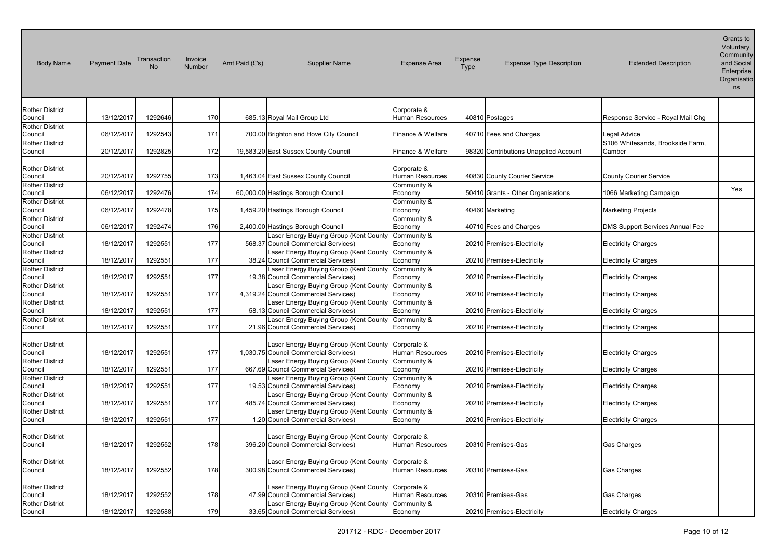| <b>Body Name</b>                                            | <b>Payment Date</b> | Transaction<br><b>No</b> | Invoice<br><b>Number</b> | Amt Paid (£'s) | <b>Supplier Name</b>                                                                                                                  | <b>Expense Area</b>            | Expense<br>Type | <b>Expense Type Description</b>       | <b>Extended Description</b>            | Grants to<br>Voluntary,<br>Community<br>and Social<br>Enterprise<br>Organisatio<br>ns |
|-------------------------------------------------------------|---------------------|--------------------------|--------------------------|----------------|---------------------------------------------------------------------------------------------------------------------------------------|--------------------------------|-----------------|---------------------------------------|----------------------------------------|---------------------------------------------------------------------------------------|
| <b>Rother District</b>                                      |                     |                          |                          |                |                                                                                                                                       | Corporate &<br>Human Resources |                 |                                       |                                        |                                                                                       |
| Council<br><b>Rother District</b>                           | 13/12/2017          | 1292646                  | 170                      |                | 685.13 Royal Mail Group Ltd                                                                                                           |                                |                 | 40810 Postages                        | Response Service - Royal Mail Chg      |                                                                                       |
| Council                                                     | 06/12/2017          | 1292543                  | 171                      |                | 700.00 Brighton and Hove City Council                                                                                                 | Finance & Welfare              |                 | 40710 Fees and Charges                | <b>Legal Advice</b>                    |                                                                                       |
| <b>Rother District</b>                                      |                     |                          |                          |                |                                                                                                                                       |                                |                 |                                       | S106 Whitesands, Brookside Farm,       |                                                                                       |
| Council                                                     | 20/12/2017          | 1292825                  | 172                      |                | 19,583.20 East Sussex County Council                                                                                                  | Finance & Welfare              |                 | 98320 Contributions Unapplied Account | Camber                                 |                                                                                       |
| <b>Rother District</b><br>Council                           | 20/12/2017          | 1292755                  | 173                      |                | 1,463.04 East Sussex County Council                                                                                                   | Corporate &<br>Human Resources |                 | 40830 County Courier Service          | <b>County Courier Service</b>          |                                                                                       |
| <b>Rother District</b>                                      |                     |                          |                          |                |                                                                                                                                       | Community &                    |                 |                                       |                                        | Yes                                                                                   |
| Council                                                     | 06/12/2017          | 1292476                  | 174                      |                | 60,000.00 Hastings Borough Council                                                                                                    | Economy                        |                 | 50410 Grants - Other Organisations    | 1066 Marketing Campaign                |                                                                                       |
| <b>Rother District</b>                                      |                     |                          |                          |                |                                                                                                                                       | Community &                    |                 |                                       |                                        |                                                                                       |
| Council                                                     | 06/12/2017          | 1292478                  | 175                      |                | 1,459.20 Hastings Borough Council                                                                                                     | Economy                        |                 | 40460 Marketing                       | <b>Marketing Projects</b>              |                                                                                       |
| <b>Rother District</b>                                      |                     |                          |                          |                |                                                                                                                                       | Community &                    |                 |                                       |                                        |                                                                                       |
| Council                                                     | 06/12/2017          | 1292474                  | 176                      |                | 2,400.00 Hastings Borough Council                                                                                                     | Economy                        |                 | 40710 Fees and Charges                | <b>DMS Support Services Annual Fee</b> |                                                                                       |
| <b>Rother District</b>                                      |                     |                          | 177                      |                | Laser Energy Buying Group (Kent County Community &                                                                                    |                                |                 |                                       |                                        |                                                                                       |
| Council<br><b>Rother District</b>                           | 18/12/2017          | 1292551                  |                          |                | 568.37 Council Commercial Services)<br>Laser Energy Buying Group (Kent County                                                         | Economy<br>Community &         |                 | 20210 Premises-Electricity            | <b>Electricity Charges</b>             |                                                                                       |
| Council                                                     | 18/12/2017          | 1292551                  | 177                      |                | 38.24 Council Commercial Services)                                                                                                    | Economy                        |                 | 20210 Premises-Electricity            | <b>Electricity Charges</b>             |                                                                                       |
| <b>Rother District</b>                                      |                     |                          |                          |                | Laser Energy Buying Group (Kent County                                                                                                | Community &                    |                 |                                       |                                        |                                                                                       |
| Council                                                     | 18/12/2017          | 1292551                  | 177                      |                | 19.38 Council Commercial Services)                                                                                                    | Economy                        |                 | 20210 Premises-Electricity            | <b>Electricity Charges</b>             |                                                                                       |
| <b>Rother District</b>                                      |                     |                          |                          |                | Laser Energy Buying Group (Kent County                                                                                                | Community &                    |                 |                                       |                                        |                                                                                       |
| Council                                                     | 18/12/2017          | 1292551                  | 177                      |                | 4,319.24 Council Commercial Services)                                                                                                 | Economy                        |                 | 20210 Premises-Electricity            | <b>Electricity Charges</b>             |                                                                                       |
| <b>Rother District</b>                                      |                     |                          |                          |                | Laser Energy Buying Group (Kent County Community &                                                                                    |                                |                 |                                       |                                        |                                                                                       |
| Council                                                     | 18/12/2017          | 1292551                  | 177                      |                | 58.13 Council Commercial Services)                                                                                                    | Economy                        |                 | 20210 Premises-Electricity            | <b>Electricity Charges</b>             |                                                                                       |
| <b>Rother District</b>                                      |                     |                          |                          |                | Laser Energy Buying Group (Kent County                                                                                                | Community &                    |                 |                                       |                                        |                                                                                       |
| Council                                                     | 18/12/2017          | 1292551                  | 177                      |                | 21.96 Council Commercial Services)                                                                                                    | Economy                        |                 | 20210 Premises-Electricity            | <b>Electricity Charges</b>             |                                                                                       |
| <b>Rother District</b><br>Council<br><b>Rother District</b> | 18/12/2017          | 1292551                  | 177                      |                | Laser Energy Buying Group (Kent County Corporate &<br>1,030.75 Council Commercial Services)<br>Laser Energy Buying Group (Kent County | Human Resources<br>Community & |                 | 20210 Premises-Electricity            | <b>Electricity Charges</b>             |                                                                                       |
| Council                                                     | 18/12/2017          | 1292551                  | 177                      |                | 667.69 Council Commercial Services)                                                                                                   | Economy                        |                 | 20210 Premises-Electricity            | <b>Electricity Charges</b>             |                                                                                       |
| <b>Rother District</b>                                      |                     |                          |                          |                | Laser Energy Buying Group (Kent County                                                                                                | Community &                    |                 |                                       |                                        |                                                                                       |
| Council                                                     | 18/12/2017          | 1292551                  | 177                      |                | 19.53 Council Commercial Services)                                                                                                    | Economy                        |                 | 20210 Premises-Electricity            | <b>Electricity Charges</b>             |                                                                                       |
| <b>Rother District</b>                                      |                     |                          |                          |                | Laser Energy Buying Group (Kent County Community &                                                                                    |                                |                 |                                       |                                        |                                                                                       |
| Council                                                     | 18/12/2017          | 1292551                  | 177                      |                | 485.74 Council Commercial Services)                                                                                                   | Economy                        |                 | 20210 Premises-Electricity            | <b>Electricity Charges</b>             |                                                                                       |
| <b>Rother District</b>                                      |                     |                          |                          |                | aser Energy Buying Group (Kent County                                                                                                 | Community &                    |                 |                                       |                                        |                                                                                       |
| Council                                                     | 18/12/2017          | 1292551                  | 177                      |                | 1.20 Council Commercial Services)                                                                                                     | Economy                        |                 | 20210 Premises-Electricity            | <b>Electricity Charges</b>             |                                                                                       |
| <b>Rother District</b><br>Council                           | 18/12/2017          | 1292552                  | 178                      |                | Laser Energy Buying Group (Kent County Corporate &<br>396.20 Council Commercial Services)                                             | <b>Human Resources</b>         |                 | 20310 Premises-Gas                    | Gas Charges                            |                                                                                       |
| <b>Rother District</b><br>Council                           | 18/12/2017          | 1292552                  | 178                      |                | Laser Energy Buying Group (Kent County Corporate &<br>300.98 Council Commercial Services)                                             | Human Resources                |                 | 20310 Premises-Gas                    | Gas Charges                            |                                                                                       |
| <b>Rother District</b><br>Council                           | 18/12/2017          | 1292552                  | 178                      |                | Laser Energy Buying Group (Kent County Corporate &<br>47.99 Council Commercial Services)                                              | Human Resources                |                 | 20310 Premises-Gas                    | Gas Charges                            |                                                                                       |
| <b>Rother District</b><br>Council                           | 18/12/2017          | 1292588                  | 179                      |                | Laser Energy Buying Group (Kent County<br>33.65 Council Commercial Services)                                                          | Community &<br>Economy         |                 | 20210 Premises-Electricity            | <b>Electricity Charges</b>             |                                                                                       |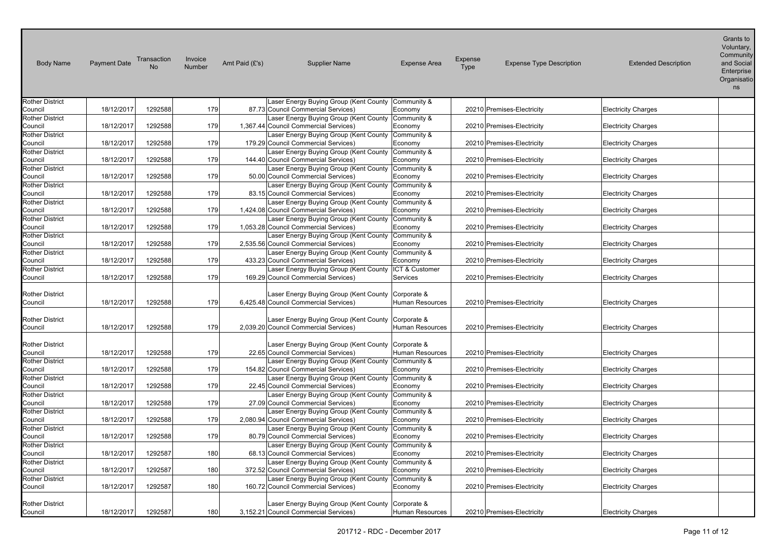| <b>Body Name</b>                                            | <b>Payment Date</b> | Transaction<br>No | Invoice<br>Number | Amt Paid (£'s) | <b>Supplier Name</b>                                                                                                                              | <b>Expense Area</b>    | Expense<br>Type | <b>Expense Type Description</b> | <b>Extended Description</b> | Grants to<br>Voluntary,<br>Community<br>and Social<br>Enterprise<br>Organisatio<br>ns |
|-------------------------------------------------------------|---------------------|-------------------|-------------------|----------------|---------------------------------------------------------------------------------------------------------------------------------------------------|------------------------|-----------------|---------------------------------|-----------------------------|---------------------------------------------------------------------------------------|
| <b>Rother District</b>                                      |                     |                   |                   |                | Laser Energy Buying Group (Kent County Community &                                                                                                |                        |                 |                                 |                             |                                                                                       |
| Council                                                     | 18/12/2017          | 1292588           | 179               |                | 87.73 Council Commercial Services)                                                                                                                | Economy                |                 | 20210 Premises-Electricity      | <b>Electricity Charges</b>  |                                                                                       |
| <b>Rother District</b>                                      |                     |                   |                   |                | Laser Energy Buying Group (Kent County                                                                                                            | Community &            |                 |                                 |                             |                                                                                       |
| Council                                                     | 18/12/2017          | 1292588           | 179               |                | 1,367.44 Council Commercial Services)                                                                                                             | Economy                |                 | 20210 Premises-Electricity      | <b>Electricity Charges</b>  |                                                                                       |
| <b>Rother District</b>                                      |                     |                   |                   |                | Laser Energy Buying Group (Kent County                                                                                                            | Community &            |                 |                                 |                             |                                                                                       |
| Council                                                     | 18/12/2017          | 1292588           | 179               |                | 179.29 Council Commercial Services)                                                                                                               | Economy                |                 | 20210 Premises-Electricity      | <b>Electricity Charges</b>  |                                                                                       |
| <b>Rother District</b>                                      |                     |                   |                   |                | Laser Energy Buying Group (Kent County                                                                                                            | Community &            |                 |                                 |                             |                                                                                       |
| Council                                                     | 18/12/2017          | 1292588           | 179               |                | 144.40 Council Commercial Services)                                                                                                               | Economy                |                 | 20210 Premises-Electricity      | <b>Electricity Charges</b>  |                                                                                       |
| <b>Rother District</b>                                      |                     |                   |                   |                | Laser Energy Buying Group (Kent County Community &                                                                                                |                        |                 |                                 |                             |                                                                                       |
| Council                                                     | 18/12/2017          | 1292588           | 179               |                | 50.00 Council Commercial Services)                                                                                                                | Economy                |                 | 20210 Premises-Electricity      | <b>Electricity Charges</b>  |                                                                                       |
| <b>Rother District</b>                                      |                     |                   |                   |                | Laser Energy Buying Group (Kent County                                                                                                            | Community &            |                 |                                 |                             |                                                                                       |
| Council                                                     | 18/12/2017          | 1292588           | 179               |                | 83.15 Council Commercial Services)                                                                                                                | Economy                |                 | 20210 Premises-Electricity      | <b>Electricity Charges</b>  |                                                                                       |
| <b>Rother District</b><br>Council                           | 18/12/2017          | 1292588           | 179               |                | Laser Energy Buying Group (Kent County<br>1,424.08 Council Commercial Services)                                                                   | Community &<br>Economy |                 | 20210 Premises-Electricity      | <b>Electricity Charges</b>  |                                                                                       |
| <b>Rother District</b>                                      |                     |                   |                   |                | Laser Energy Buying Group (Kent County                                                                                                            | Community &            |                 |                                 |                             |                                                                                       |
| Council                                                     | 18/12/2017          | 1292588           | 179               |                | 1,053.28 Council Commercial Services)                                                                                                             | Economy                |                 | 20210 Premises-Electricity      | <b>Electricity Charges</b>  |                                                                                       |
| <b>Rother District</b>                                      |                     |                   |                   |                | Laser Energy Buying Group (Kent County Community &                                                                                                |                        |                 |                                 |                             |                                                                                       |
| Council                                                     | 18/12/2017          | 1292588           | 179               |                | 2,535.56 Council Commercial Services)                                                                                                             | Economy                |                 | 20210 Premises-Electricity      | <b>Electricity Charges</b>  |                                                                                       |
| <b>Rother District</b>                                      |                     |                   |                   |                | Laser Energy Buying Group (Kent County Community &                                                                                                |                        |                 |                                 |                             |                                                                                       |
| Council                                                     | 18/12/2017          | 1292588           | 179               |                | 433.23 Council Commercial Services)                                                                                                               | Economy                |                 | 20210 Premises-Electricity      | <b>Electricity Charges</b>  |                                                                                       |
| <b>Rother District</b>                                      |                     |                   |                   |                | Laser Energy Buying Group (Kent County                                                                                                            | ICT & Customer         |                 |                                 |                             |                                                                                       |
| Council                                                     | 18/12/2017          | 1292588           | 179               |                | 169.29 Council Commercial Services)                                                                                                               | Services               |                 | 20210 Premises-Electricity      | <b>Electricity Charges</b>  |                                                                                       |
| <b>Rother District</b><br>Council<br><b>Rother District</b> | 18/12/2017          | 1292588           | 179               |                | Laser Energy Buying Group (Kent County Corporate &<br>6,425.48 Council Commercial Services)<br>Laser Energy Buying Group (Kent County Corporate & | Human Resources        |                 | 20210 Premises-Electricity      | <b>Electricity Charges</b>  |                                                                                       |
| Council                                                     | 18/12/2017          | 1292588           | 179               |                | 2,039.20 Council Commercial Services)                                                                                                             | Human Resources        |                 | 20210 Premises-Electricity      | <b>Electricity Charges</b>  |                                                                                       |
| <b>Rother District</b><br>Council<br><b>Rother District</b> | 18/12/2017          | 1292588           | 179               |                | Laser Energy Buying Group (Kent County Corporate &<br>22.65 Council Commercial Services)<br>Laser Energy Buying Group (Kent County Community &    | Human Resources        |                 | 20210 Premises-Electricity      | <b>Electricity Charges</b>  |                                                                                       |
| Council                                                     | 18/12/2017          | 1292588           | 179               |                | 154.82 Council Commercial Services)                                                                                                               | Economy                |                 | 20210 Premises-Electricity      | <b>Electricity Charges</b>  |                                                                                       |
| <b>Rother District</b>                                      |                     |                   |                   |                | Laser Energy Buying Group (Kent County                                                                                                            | Community &            |                 |                                 |                             |                                                                                       |
| Council                                                     | 18/12/2017          | 1292588           | 179               |                | 22.45 Council Commercial Services)                                                                                                                | Economy                |                 | 20210 Premises-Electricity      | <b>Electricity Charges</b>  |                                                                                       |
| <b>Rother District</b>                                      |                     |                   |                   |                | Laser Energy Buying Group (Kent County                                                                                                            | Community &            |                 |                                 |                             |                                                                                       |
| Council                                                     | 18/12/2017          | 1292588           | 179               |                | 27.09 Council Commercial Services)                                                                                                                | Economy                |                 | 20210 Premises-Electricity      | <b>Electricity Charges</b>  |                                                                                       |
| <b>Rother District</b>                                      |                     |                   |                   |                | Laser Energy Buying Group (Kent County Community &                                                                                                |                        |                 |                                 |                             |                                                                                       |
| Council                                                     | 18/12/2017          | 1292588           | 179               |                | 2,080.94 Council Commercial Services)                                                                                                             | Economy                |                 | 20210 Premises-Electricity      | <b>Electricity Charges</b>  |                                                                                       |
| <b>Rother District</b>                                      |                     |                   |                   |                | aser Energy Buying Group (Kent County                                                                                                             | Community &            |                 |                                 |                             |                                                                                       |
| Council                                                     | 18/12/2017          | 1292588           | 179               |                | 80.79 Council Commercial Services)                                                                                                                | Economy                |                 | 20210 Premises-Electricity      | <b>Electricity Charges</b>  |                                                                                       |
| <b>Rother District</b>                                      |                     |                   |                   |                | Laser Energy Buying Group (Kent County                                                                                                            | Community &            |                 |                                 |                             |                                                                                       |
| Council                                                     | 18/12/2017          | 1292587           | 180               |                | 68.13 Council Commercial Services)                                                                                                                | Economy                |                 | 20210 Premises-Electricity      | <b>Electricity Charges</b>  |                                                                                       |
| <b>Rother District</b>                                      |                     |                   |                   |                | Laser Energy Buying Group (Kent County                                                                                                            | Community &            |                 |                                 |                             |                                                                                       |
| Council                                                     | 18/12/2017          | 1292587           | 180               |                | 372.52 Council Commercial Services)                                                                                                               | Economy                |                 | 20210 Premises-Electricity      | <b>Electricity Charges</b>  |                                                                                       |
| <b>Rother District</b>                                      |                     |                   |                   |                | Laser Energy Buying Group (Kent County                                                                                                            | Community &            |                 |                                 |                             |                                                                                       |
| Council                                                     | 18/12/2017          | 1292587           | 180               |                | 160.72 Council Commercial Services)                                                                                                               | Economy                |                 | 20210 Premises-Electricity      | <b>Electricity Charges</b>  |                                                                                       |
| <b>Rother District</b><br>Council                           | 18/12/2017          | 1292587           | 180               |                | Laser Energy Buying Group (Kent County Corporate &<br>3,152.21 Council Commercial Services)                                                       | <b>Human Resources</b> |                 | 20210 Premises-Electricity      | <b>Electricity Charges</b>  |                                                                                       |